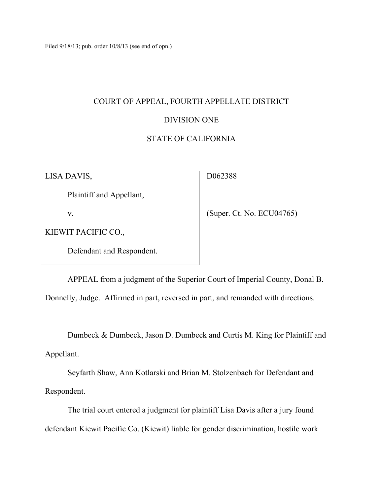Filed 9/18/13; pub. order 10/8/13 (see end of opn.)

# COURT OF APPEAL, FOURTH APPELLATE DISTRICT

# DIVISION ONE

## STATE OF CALIFORNIA

LISA DAVIS,

D062388

Plaintiff and Appellant,

v.

(Super. Ct. No. ECU04765)

KIEWIT PACIFIC CO.,

Defendant and Respondent.

APPEAL from a judgment of the Superior Court of Imperial County, Donal B.

Donnelly, Judge. Affirmed in part, reversed in part, and remanded with directions.

 Dumbeck & Dumbeck, Jason D. Dumbeck and Curtis M. King for Plaintiff and Appellant.

 Seyfarth Shaw, Ann Kotlarski and Brian M. Stolzenbach for Defendant and Respondent.

 The trial court entered a judgment for plaintiff Lisa Davis after a jury found defendant Kiewit Pacific Co. (Kiewit) liable for gender discrimination, hostile work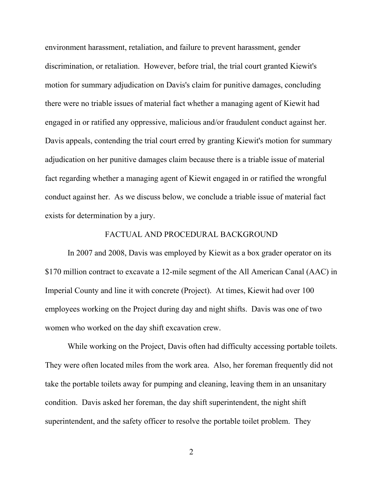environment harassment, retaliation, and failure to prevent harassment, gender discrimination, or retaliation. However, before trial, the trial court granted Kiewit's motion for summary adjudication on Davis's claim for punitive damages, concluding there were no triable issues of material fact whether a managing agent of Kiewit had engaged in or ratified any oppressive, malicious and/or fraudulent conduct against her. Davis appeals, contending the trial court erred by granting Kiewit's motion for summary adjudication on her punitive damages claim because there is a triable issue of material fact regarding whether a managing agent of Kiewit engaged in or ratified the wrongful conduct against her. As we discuss below, we conclude a triable issue of material fact exists for determination by a jury.

## FACTUAL AND PROCEDURAL BACKGROUND

 In 2007 and 2008, Davis was employed by Kiewit as a box grader operator on its \$170 million contract to excavate a 12-mile segment of the All American Canal (AAC) in Imperial County and line it with concrete (Project). At times, Kiewit had over 100 employees working on the Project during day and night shifts. Davis was one of two women who worked on the day shift excavation crew.

 While working on the Project, Davis often had difficulty accessing portable toilets. They were often located miles from the work area. Also, her foreman frequently did not take the portable toilets away for pumping and cleaning, leaving them in an unsanitary condition. Davis asked her foreman, the day shift superintendent, the night shift superintendent, and the safety officer to resolve the portable toilet problem. They

2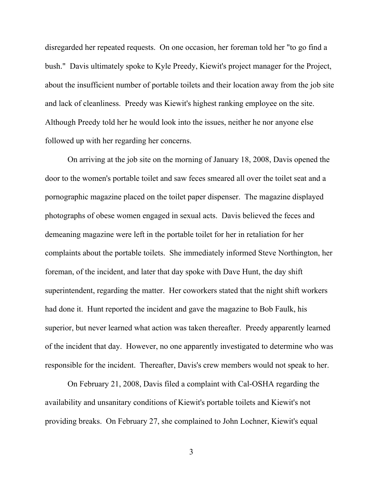disregarded her repeated requests. On one occasion, her foreman told her "to go find a bush." Davis ultimately spoke to Kyle Preedy, Kiewit's project manager for the Project, about the insufficient number of portable toilets and their location away from the job site and lack of cleanliness. Preedy was Kiewit's highest ranking employee on the site. Although Preedy told her he would look into the issues, neither he nor anyone else followed up with her regarding her concerns.

 On arriving at the job site on the morning of January 18, 2008, Davis opened the door to the women's portable toilet and saw feces smeared all over the toilet seat and a pornographic magazine placed on the toilet paper dispenser. The magazine displayed photographs of obese women engaged in sexual acts. Davis believed the feces and demeaning magazine were left in the portable toilet for her in retaliation for her complaints about the portable toilets. She immediately informed Steve Northington, her foreman, of the incident, and later that day spoke with Dave Hunt, the day shift superintendent, regarding the matter. Her coworkers stated that the night shift workers had done it. Hunt reported the incident and gave the magazine to Bob Faulk, his superior, but never learned what action was taken thereafter. Preedy apparently learned of the incident that day. However, no one apparently investigated to determine who was responsible for the incident. Thereafter, Davis's crew members would not speak to her.

 On February 21, 2008, Davis filed a complaint with Cal-OSHA regarding the availability and unsanitary conditions of Kiewit's portable toilets and Kiewit's not providing breaks. On February 27, she complained to John Lochner, Kiewit's equal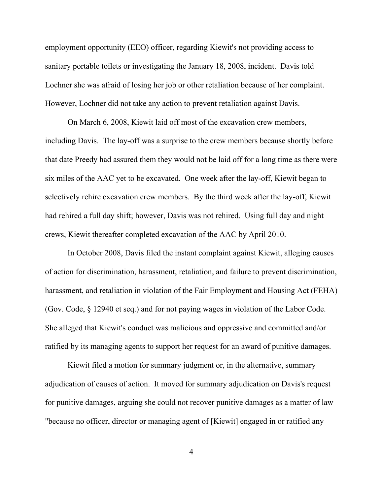employment opportunity (EEO) officer, regarding Kiewit's not providing access to sanitary portable toilets or investigating the January 18, 2008, incident. Davis told Lochner she was afraid of losing her job or other retaliation because of her complaint. However, Lochner did not take any action to prevent retaliation against Davis.

 On March 6, 2008, Kiewit laid off most of the excavation crew members, including Davis. The lay-off was a surprise to the crew members because shortly before that date Preedy had assured them they would not be laid off for a long time as there were six miles of the AAC yet to be excavated. One week after the lay-off, Kiewit began to selectively rehire excavation crew members. By the third week after the lay-off, Kiewit had rehired a full day shift; however, Davis was not rehired. Using full day and night crews, Kiewit thereafter completed excavation of the AAC by April 2010.

 In October 2008, Davis filed the instant complaint against Kiewit, alleging causes of action for discrimination, harassment, retaliation, and failure to prevent discrimination, harassment, and retaliation in violation of the Fair Employment and Housing Act (FEHA) (Gov. Code, § 12940 et seq.) and for not paying wages in violation of the Labor Code. She alleged that Kiewit's conduct was malicious and oppressive and committed and/or ratified by its managing agents to support her request for an award of punitive damages.

 Kiewit filed a motion for summary judgment or, in the alternative, summary adjudication of causes of action. It moved for summary adjudication on Davis's request for punitive damages, arguing she could not recover punitive damages as a matter of law "because no officer, director or managing agent of [Kiewit] engaged in or ratified any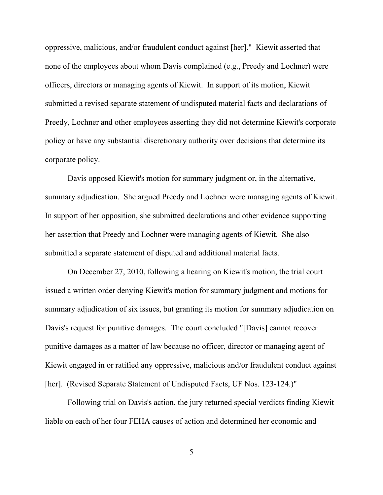oppressive, malicious, and/or fraudulent conduct against [her]." Kiewit asserted that none of the employees about whom Davis complained (e.g., Preedy and Lochner) were officers, directors or managing agents of Kiewit. In support of its motion, Kiewit submitted a revised separate statement of undisputed material facts and declarations of Preedy, Lochner and other employees asserting they did not determine Kiewit's corporate policy or have any substantial discretionary authority over decisions that determine its corporate policy.

 Davis opposed Kiewit's motion for summary judgment or, in the alternative, summary adjudication. She argued Preedy and Lochner were managing agents of Kiewit. In support of her opposition, she submitted declarations and other evidence supporting her assertion that Preedy and Lochner were managing agents of Kiewit. She also submitted a separate statement of disputed and additional material facts.

 On December 27, 2010, following a hearing on Kiewit's motion, the trial court issued a written order denying Kiewit's motion for summary judgment and motions for summary adjudication of six issues, but granting its motion for summary adjudication on Davis's request for punitive damages. The court concluded "[Davis] cannot recover punitive damages as a matter of law because no officer, director or managing agent of Kiewit engaged in or ratified any oppressive, malicious and/or fraudulent conduct against [her]. (Revised Separate Statement of Undisputed Facts, UF Nos. 123-124.)"

 Following trial on Davis's action, the jury returned special verdicts finding Kiewit liable on each of her four FEHA causes of action and determined her economic and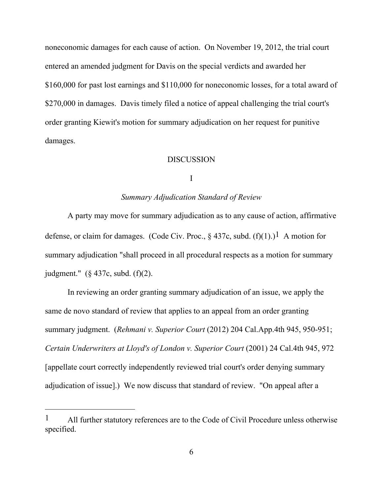noneconomic damages for each cause of action. On November 19, 2012, the trial court entered an amended judgment for Davis on the special verdicts and awarded her \$160,000 for past lost earnings and \$110,000 for noneconomic losses, for a total award of \$270,000 in damages. Davis timely filed a notice of appeal challenging the trial court's order granting Kiewit's motion for summary adjudication on her request for punitive damages.

#### **DISCUSSION**

### I

## *Summary Adjudication Standard of Review*

 A party may move for summary adjudication as to any cause of action, affirmative defense, or claim for damages. (Code Civ. Proc.,  $\S$  437c, subd. (f)(1).)<sup>1</sup> A motion for summary adjudication "shall proceed in all procedural respects as a motion for summary judgment." (§ 437c, subd. (f)(2).

 In reviewing an order granting summary adjudication of an issue, we apply the same de novo standard of review that applies to an appeal from an order granting summary judgment. (*Rehmani v. Superior Court* (2012) 204 Cal.App.4th 945, 950-951; *Certain Underwriters at Lloyd's of London v. Superior Court* (2001) 24 Cal.4th 945, 972 [appellate court correctly independently reviewed trial court's order denying summary adjudication of issue].) We now discuss that standard of review. "On appeal after a

 $\overline{a}$ 

All further statutory references are to the Code of Civil Procedure unless otherwise specified.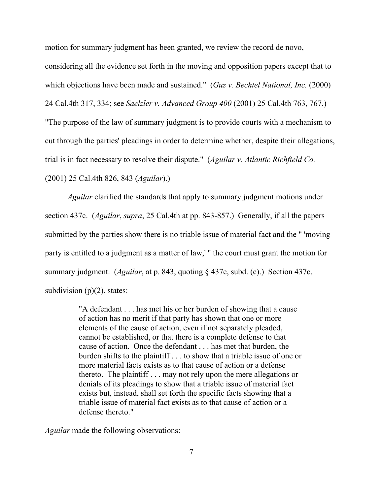motion for summary judgment has been granted, we review the record de novo,

considering all the evidence set forth in the moving and opposition papers except that to which objections have been made and sustained." (*Guz v. Bechtel National, Inc.* (2000)

24 Cal.4th 317, 334; see *Saelzler v. Advanced Group 400* (2001) 25 Cal.4th 763, 767.)

"The purpose of the law of summary judgment is to provide courts with a mechanism to

cut through the parties' pleadings in order to determine whether, despite their allegations,

trial is in fact necessary to resolve their dispute." (*Aguilar v. Atlantic Richfield Co.*

(2001) 25 Cal.4th 826, 843 (*Aguilar*).)

 *Aguilar* clarified the standards that apply to summary judgment motions under section 437c. (*Aguilar*, *supra*, 25 Cal.4th at pp. 843-857.) Generally, if all the papers submitted by the parties show there is no triable issue of material fact and the " 'moving party is entitled to a judgment as a matter of law,' " the court must grant the motion for summary judgment. (*Aguilar*, at p. 843, quoting § 437c, subd. (c).) Section 437c, subdivision  $(p)(2)$ , states:

> "A defendant . . . has met his or her burden of showing that a cause of action has no merit if that party has shown that one or more elements of the cause of action, even if not separately pleaded, cannot be established, or that there is a complete defense to that cause of action. Once the defendant . . . has met that burden, the burden shifts to the plaintiff . . . to show that a triable issue of one or more material facts exists as to that cause of action or a defense thereto. The plaintiff . . . may not rely upon the mere allegations or denials of its pleadings to show that a triable issue of material fact exists but, instead, shall set forth the specific facts showing that a triable issue of material fact exists as to that cause of action or a defense thereto."

*Aguilar* made the following observations: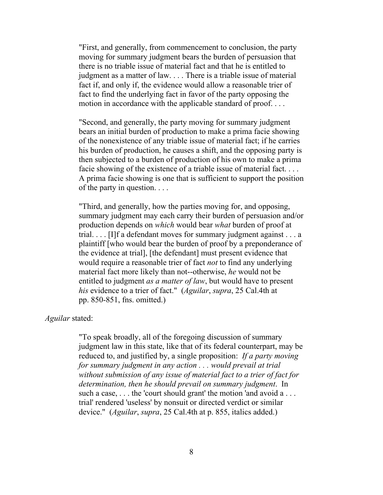"First, and generally, from commencement to conclusion, the party moving for summary judgment bears the burden of persuasion that there is no triable issue of material fact and that he is entitled to judgment as a matter of law. . . . There is a triable issue of material fact if, and only if, the evidence would allow a reasonable trier of fact to find the underlying fact in favor of the party opposing the motion in accordance with the applicable standard of proof....

"Second, and generally, the party moving for summary judgment bears an initial burden of production to make a prima facie showing of the nonexistence of any triable issue of material fact; if he carries his burden of production, he causes a shift, and the opposing party is then subjected to a burden of production of his own to make a prima facie showing of the existence of a triable issue of material fact. . . . A prima facie showing is one that is sufficient to support the position of the party in question. . . .

"Third, and generally, how the parties moving for, and opposing, summary judgment may each carry their burden of persuasion and/or production depends on *which* would bear *what* burden of proof at trial. . . . [I]f a defendant moves for summary judgment against . . . a plaintiff [who would bear the burden of proof by a preponderance of the evidence at trial], [the defendant] must present evidence that would require a reasonable trier of fact *not* to find any underlying material fact more likely than not--otherwise, *he* would not be entitled to judgment *as a matter of law*, but would have to present *his* evidence to a trier of fact." (*Aguilar*, *supra*, 25 Cal.4th at pp. 850-851, fns. omitted.)

*Aguilar* stated:

"To speak broadly, all of the foregoing discussion of summary judgment law in this state, like that of its federal counterpart, may be reduced to, and justified by, a single proposition: *If a party moving for summary judgment in any action . . . would prevail at trial without submission of any issue of material fact to a trier of fact for determination, then he should prevail on summary judgment*. In such a case, ... the 'court should grant' the motion 'and avoid a ... trial' rendered 'useless' by nonsuit or directed verdict or similar device." (*Aguilar*, *supra*, 25 Cal.4th at p. 855, italics added.)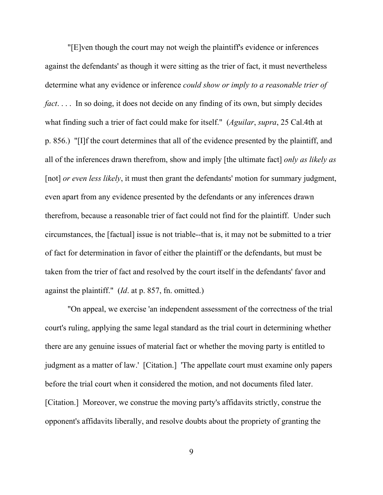"[E]ven though the court may not weigh the plaintiff's evidence or inferences against the defendants' as though it were sitting as the trier of fact, it must nevertheless determine what any evidence or inference *could show or imply to a reasonable trier of fact*. . . . In so doing, it does not decide on any finding of its own, but simply decides what finding such a trier of fact could make for itself." (*Aguilar*, *supra*, 25 Cal.4th at p. 856.) "[I]f the court determines that all of the evidence presented by the plaintiff, and all of the inferences drawn therefrom, show and imply [the ultimate fact] *only as likely as* [not] *or even less likely*, it must then grant the defendants' motion for summary judgment, even apart from any evidence presented by the defendants or any inferences drawn therefrom, because a reasonable trier of fact could not find for the plaintiff. Under such circumstances, the [factual] issue is not triable--that is, it may not be submitted to a trier of fact for determination in favor of either the plaintiff or the defendants, but must be taken from the trier of fact and resolved by the court itself in the defendants' favor and against the plaintiff." (*Id*. at p. 857, fn. omitted.)

 "On appeal, we exercise 'an independent assessment of the correctness of the trial court's ruling, applying the same legal standard as the trial court in determining whether there are any genuine issues of material fact or whether the moving party is entitled to judgment as a matter of law.' [Citation.] 'The appellate court must examine only papers before the trial court when it considered the motion, and not documents filed later. [Citation.] Moreover, we construe the moving party's affidavits strictly, construe the opponent's affidavits liberally, and resolve doubts about the propriety of granting the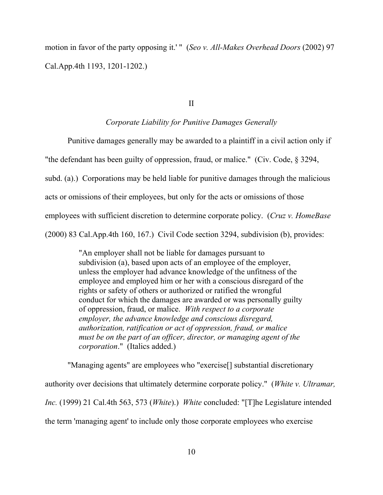motion in favor of the party opposing it.' " (*Seo v. All-Makes Overhead Doors* (2002) 97 Cal.App.4th 1193, 1201-1202.)

II

## *Corporate Liability for Punitive Damages Generally*

Punitive damages generally may be awarded to a plaintiff in a civil action only if

"the defendant has been guilty of oppression, fraud, or malice." (Civ. Code, § 3294,

subd. (a).) Corporations may be held liable for punitive damages through the malicious

acts or omissions of their employees, but only for the acts or omissions of those

employees with sufficient discretion to determine corporate policy. (*Cruz v. HomeBase*

(2000) 83 Cal.App.4th 160, 167.) Civil Code section 3294, subdivision (b), provides:

"An employer shall not be liable for damages pursuant to subdivision (a), based upon acts of an employee of the employer, unless the employer had advance knowledge of the unfitness of the employee and employed him or her with a conscious disregard of the rights or safety of others or authorized or ratified the wrongful conduct for which the damages are awarded or was personally guilty of oppression, fraud, or malice. *With respect to a corporate employer, the advance knowledge and conscious disregard, authorization, ratification or act of oppression, fraud, or malice must be on the part of an officer, director, or managing agent of the corporation*." (Italics added.)

 "Managing agents" are employees who "exercise[] substantial discretionary authority over decisions that ultimately determine corporate policy." (*White v. Ultramar, Inc.* (1999) 21 Cal.4th 563, 573 (*White*).) *White* concluded: "[T]he Legislature intended the term 'managing agent' to include only those corporate employees who exercise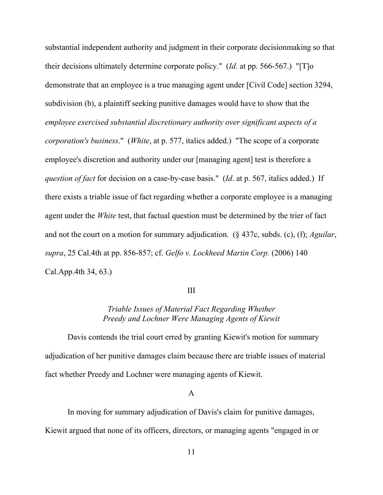substantial independent authority and judgment in their corporate decisionmaking so that their decisions ultimately determine corporate policy." (*Id*. at pp. 566-567.) "[T]o demonstrate that an employee is a true managing agent under [Civil Code] section 3294, subdivision (b), a plaintiff seeking punitive damages would have to show that the *employee exercised substantial discretionary authority over significant aspects of a corporation's business*." (*White*, at p. 577, italics added.) "The scope of a corporate employee's discretion and authority under our [managing agent] test is therefore a *question of fact* for decision on a case-by-case basis." (*Id*. at p. 567, italics added.) If there exists a triable issue of fact regarding whether a corporate employee is a managing agent under the *White* test, that factual question must be determined by the trier of fact and not the court on a motion for summary adjudication. (§ 437c, subds. (c), (f); *Aguilar*, *supra*, 25 Cal.4th at pp. 856-857; cf. *Gelfo v. Lockheed Martin Corp.* (2006) 140 Cal.App.4th 34, 63.)

## III

## *Triable Issues of Material Fact Regarding Whether Preedy and Lochner Were Managing Agents of Kiewit*

 Davis contends the trial court erred by granting Kiewit's motion for summary adjudication of her punitive damages claim because there are triable issues of material fact whether Preedy and Lochner were managing agents of Kiewit.

#### A

 In moving for summary adjudication of Davis's claim for punitive damages, Kiewit argued that none of its officers, directors, or managing agents "engaged in or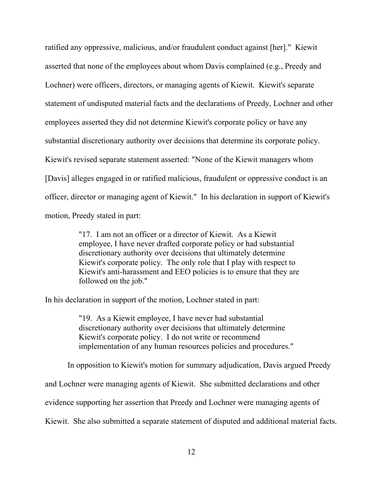ratified any oppressive, malicious, and/or fraudulent conduct against [her]." Kiewit asserted that none of the employees about whom Davis complained (e.g., Preedy and Lochner) were officers, directors, or managing agents of Kiewit. Kiewit's separate statement of undisputed material facts and the declarations of Preedy, Lochner and other employees asserted they did not determine Kiewit's corporate policy or have any substantial discretionary authority over decisions that determine its corporate policy. Kiewit's revised separate statement asserted: "None of the Kiewit managers whom [Davis] alleges engaged in or ratified malicious, fraudulent or oppressive conduct is an officer, director or managing agent of Kiewit." In his declaration in support of Kiewit's motion, Preedy stated in part:

> "17. I am not an officer or a director of Kiewit. As a Kiewit employee, I have never drafted corporate policy or had substantial discretionary authority over decisions that ultimately determine Kiewit's corporate policy. The only role that I play with respect to Kiewit's anti-harassment and EEO policies is to ensure that they are followed on the job."

In his declaration in support of the motion, Lochner stated in part:

"19. As a Kiewit employee, I have never had substantial discretionary authority over decisions that ultimately determine Kiewit's corporate policy. I do not write or recommend implementation of any human resources policies and procedures."

In opposition to Kiewit's motion for summary adjudication, Davis argued Preedy

and Lochner were managing agents of Kiewit. She submitted declarations and other

evidence supporting her assertion that Preedy and Lochner were managing agents of

Kiewit. She also submitted a separate statement of disputed and additional material facts.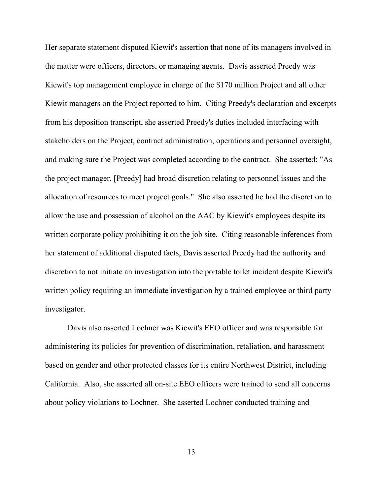Her separate statement disputed Kiewit's assertion that none of its managers involved in the matter were officers, directors, or managing agents. Davis asserted Preedy was Kiewit's top management employee in charge of the \$170 million Project and all other Kiewit managers on the Project reported to him. Citing Preedy's declaration and excerpts from his deposition transcript, she asserted Preedy's duties included interfacing with stakeholders on the Project, contract administration, operations and personnel oversight, and making sure the Project was completed according to the contract. She asserted: "As the project manager, [Preedy] had broad discretion relating to personnel issues and the allocation of resources to meet project goals." She also asserted he had the discretion to allow the use and possession of alcohol on the AAC by Kiewit's employees despite its written corporate policy prohibiting it on the job site. Citing reasonable inferences from her statement of additional disputed facts, Davis asserted Preedy had the authority and discretion to not initiate an investigation into the portable toilet incident despite Kiewit's written policy requiring an immediate investigation by a trained employee or third party investigator.

 Davis also asserted Lochner was Kiewit's EEO officer and was responsible for administering its policies for prevention of discrimination, retaliation, and harassment based on gender and other protected classes for its entire Northwest District, including California. Also, she asserted all on-site EEO officers were trained to send all concerns about policy violations to Lochner. She asserted Lochner conducted training and

13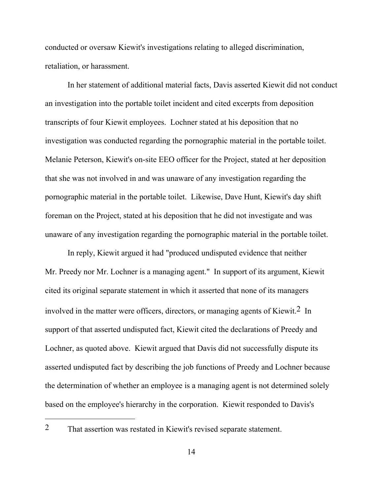conducted or oversaw Kiewit's investigations relating to alleged discrimination, retaliation, or harassment.

 In her statement of additional material facts, Davis asserted Kiewit did not conduct an investigation into the portable toilet incident and cited excerpts from deposition transcripts of four Kiewit employees. Lochner stated at his deposition that no investigation was conducted regarding the pornographic material in the portable toilet. Melanie Peterson, Kiewit's on-site EEO officer for the Project, stated at her deposition that she was not involved in and was unaware of any investigation regarding the pornographic material in the portable toilet. Likewise, Dave Hunt, Kiewit's day shift foreman on the Project, stated at his deposition that he did not investigate and was unaware of any investigation regarding the pornographic material in the portable toilet.

 In reply, Kiewit argued it had "produced undisputed evidence that neither Mr. Preedy nor Mr. Lochner is a managing agent." In support of its argument, Kiewit cited its original separate statement in which it asserted that none of its managers involved in the matter were officers, directors, or managing agents of Kiewit.2 In support of that asserted undisputed fact, Kiewit cited the declarations of Preedy and Lochner, as quoted above. Kiewit argued that Davis did not successfully dispute its asserted undisputed fact by describing the job functions of Preedy and Lochner because the determination of whether an employee is a managing agent is not determined solely based on the employee's hierarchy in the corporation. Kiewit responded to Davis's

 $\overline{a}$ 

<sup>2</sup> That assertion was restated in Kiewit's revised separate statement.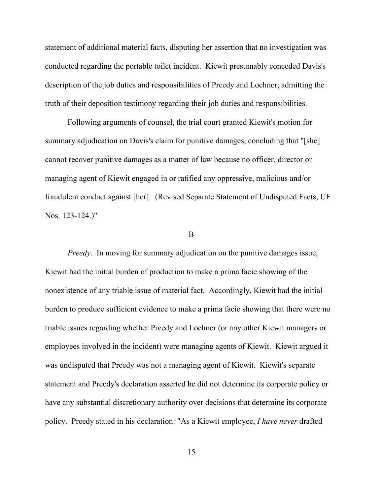statement of additional material facts, disputing her assertion that no investigation was conducted regarding the portable toilet incident. Kiewit presumably conceded Davis's description of the job duties and responsibilities of Preedy and Lochner, admitting the truth of their deposition testimony regarding their job duties and responsibilities.

 Following arguments of counsel, the trial court granted Kiewit's motion for summary adjudication on Davis's claim for punitive damages, concluding that "[she] cannot recover punitive damages as a matter of law because no officer, director or managing agent of Kiewit engaged in or ratified any oppressive, malicious and/or fraudulent conduct against [her]. (Revised Separate Statement of Undisputed Facts, UF Nos. 123-124.)"

#### B

*Preedy*. In moving for summary adjudication on the punitive damages issue, Kiewit had the initial burden of production to make a prima facie showing of the nonexistence of any triable issue of material fact. Accordingly, Kiewit had the initial burden to produce sufficient evidence to make a prima facie showing that there were no triable issues regarding whether Preedy and Lochner (or any other Kiewit managers or employees involved in the incident) were managing agents of Kiewit. Kiewit argued it was undisputed that Preedy was not a managing agent of Kiewit. Kiewit's separate statement and Preedy's declaration asserted he did not determine its corporate policy or have any substantial discretionary authority over decisions that determine its corporate policy. Preedy stated in his declaration: "As a Kiewit employee, *I have never* drafted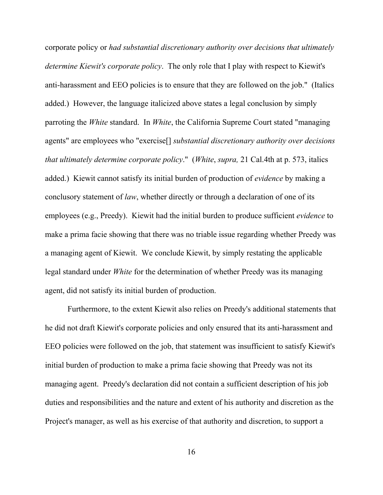corporate policy or *had substantial discretionary authority over decisions that ultimately determine Kiewit's corporate policy*. The only role that I play with respect to Kiewit's anti-harassment and EEO policies is to ensure that they are followed on the job." (Italics added.) However, the language italicized above states a legal conclusion by simply parroting the *White* standard. In *White*, the California Supreme Court stated "managing agents" are employees who "exercise[] *substantial discretionary authority over decisions that ultimately determine corporate policy*." (*White*, *supra,* 21 Cal.4th at p. 573, italics added.) Kiewit cannot satisfy its initial burden of production of *evidence* by making a conclusory statement of *law*, whether directly or through a declaration of one of its employees (e.g., Preedy). Kiewit had the initial burden to produce sufficient *evidence* to make a prima facie showing that there was no triable issue regarding whether Preedy was a managing agent of Kiewit. We conclude Kiewit, by simply restating the applicable legal standard under *White* for the determination of whether Preedy was its managing agent, did not satisfy its initial burden of production.

 Furthermore, to the extent Kiewit also relies on Preedy's additional statements that he did not draft Kiewit's corporate policies and only ensured that its anti-harassment and EEO policies were followed on the job, that statement was insufficient to satisfy Kiewit's initial burden of production to make a prima facie showing that Preedy was not its managing agent. Preedy's declaration did not contain a sufficient description of his job duties and responsibilities and the nature and extent of his authority and discretion as the Project's manager, as well as his exercise of that authority and discretion, to support a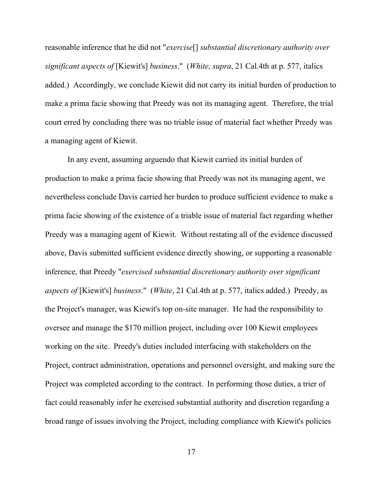reasonable inference that he did not "*exercise*[] *substantial discretionary authority over significant aspects of* [Kiewit's] *business*." (*White, supra*, 21 Cal.4th at p. 577, italics added.) Accordingly, we conclude Kiewit did not carry its initial burden of production to make a prima facie showing that Preedy was not its managing agent. Therefore, the trial court erred by concluding there was no triable issue of material fact whether Preedy was a managing agent of Kiewit.

 In any event, assuming arguendo that Kiewit carried its initial burden of production to make a prima facie showing that Preedy was not its managing agent, we nevertheless conclude Davis carried her burden to produce sufficient evidence to make a prima facie showing of the existence of a triable issue of material fact regarding whether Preedy was a managing agent of Kiewit. Without restating all of the evidence discussed above, Davis submitted sufficient evidence directly showing, or supporting a reasonable inference, that Preedy "*exercised substantial discretionary authority over significant aspects of* [Kiewit's] *business*." (*White*, 21 Cal.4th at p. 577, italics added.) Preedy, as the Project's manager, was Kiewit's top on-site manager. He had the responsibility to oversee and manage the \$170 million project, including over 100 Kiewit employees working on the site. Preedy's duties included interfacing with stakeholders on the Project, contract administration, operations and personnel oversight, and making sure the Project was completed according to the contract. In performing those duties, a trier of fact could reasonably infer he exercised substantial authority and discretion regarding a broad range of issues involving the Project, including compliance with Kiewit's policies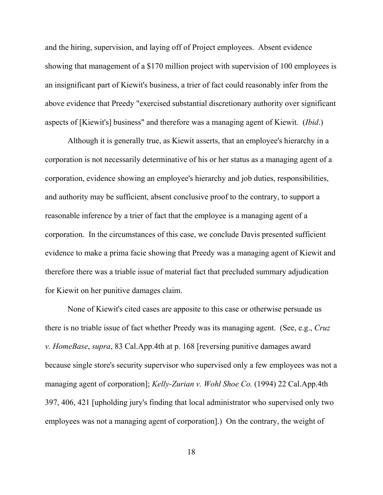and the hiring, supervision, and laying off of Project employees. Absent evidence showing that management of a \$170 million project with supervision of 100 employees is an insignificant part of Kiewit's business, a trier of fact could reasonably infer from the above evidence that Preedy "exercised substantial discretionary authority over significant aspects of [Kiewit's] business" and therefore was a managing agent of Kiewit. (*Ibid*.)

 Although it is generally true, as Kiewit asserts, that an employee's hierarchy in a corporation is not necessarily determinative of his or her status as a managing agent of a corporation, evidence showing an employee's hierarchy and job duties, responsibilities, and authority may be sufficient, absent conclusive proof to the contrary, to support a reasonable inference by a trier of fact that the employee is a managing agent of a corporation. In the circumstances of this case, we conclude Davis presented sufficient evidence to make a prima facie showing that Preedy was a managing agent of Kiewit and therefore there was a triable issue of material fact that precluded summary adjudication for Kiewit on her punitive damages claim.

 None of Kiewit's cited cases are apposite to this case or otherwise persuade us there is no triable issue of fact whether Preedy was its managing agent. (See, e.g., *Cruz v. HomeBase*, *supra*, 83 Cal.App.4th at p. 168 [reversing punitive damages award because single store's security supervisor who supervised only a few employees was not a managing agent of corporation]; *Kelly-Zurian v. Wohl Shoe Co.* (1994) 22 Cal.App.4th 397, 406, 421 [upholding jury's finding that local administrator who supervised only two employees was not a managing agent of corporation].) On the contrary, the weight of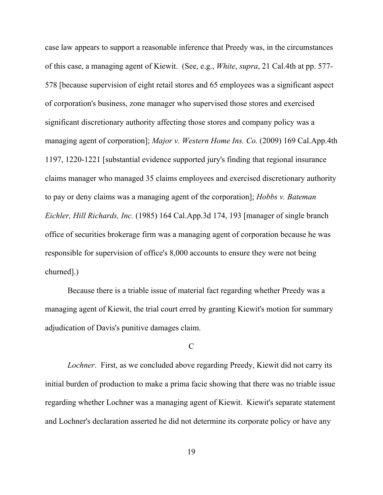case law appears to support a reasonable inference that Preedy was, in the circumstances of this case, a managing agent of Kiewit. (See, e.g., *White*, *supra*, 21 Cal.4th at pp. 577- 578 [because supervision of eight retail stores and 65 employees was a significant aspect of corporation's business, zone manager who supervised those stores and exercised significant discretionary authority affecting those stores and company policy was a managing agent of corporation]; *Major v. Western Home Ins. Co.* (2009) 169 Cal.App.4th 1197, 1220-1221 [substantial evidence supported jury's finding that regional insurance claims manager who managed 35 claims employees and exercised discretionary authority to pay or deny claims was a managing agent of the corporation]; *Hobbs v. Bateman Eichler, Hill Richards, Inc.* (1985) 164 Cal.App.3d 174, 193 [manager of single branch office of securities brokerage firm was a managing agent of corporation because he was responsible for supervision of office's 8,000 accounts to ensure they were not being churned].)

 Because there is a triable issue of material fact regarding whether Preedy was a managing agent of Kiewit, the trial court erred by granting Kiewit's motion for summary adjudication of Davis's punitive damages claim.

#### C

*Lochner*. First, as we concluded above regarding Preedy, Kiewit did not carry its initial burden of production to make a prima facie showing that there was no triable issue regarding whether Lochner was a managing agent of Kiewit. Kiewit's separate statement and Lochner's declaration asserted he did not determine its corporate policy or have any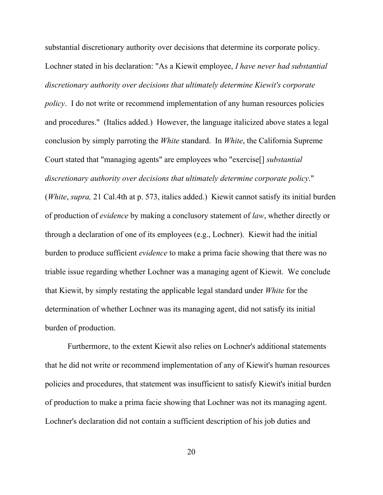substantial discretionary authority over decisions that determine its corporate policy. Lochner stated in his declaration: "As a Kiewit employee, *I have never had substantial discretionary authority over decisions that ultimately determine Kiewit's corporate* 

*policy*. I do not write or recommend implementation of any human resources policies and procedures." (Italics added.) However, the language italicized above states a legal conclusion by simply parroting the *White* standard. In *White*, the California Supreme Court stated that "managing agents" are employees who "exercise[] *substantial discretionary authority over decisions that ultimately determine corporate policy*."

(*White*, *supra,* 21 Cal.4th at p. 573, italics added.) Kiewit cannot satisfy its initial burden of production of *evidence* by making a conclusory statement of *law*, whether directly or through a declaration of one of its employees (e.g., Lochner). Kiewit had the initial burden to produce sufficient *evidence* to make a prima facie showing that there was no triable issue regarding whether Lochner was a managing agent of Kiewit. We conclude that Kiewit, by simply restating the applicable legal standard under *White* for the determination of whether Lochner was its managing agent, did not satisfy its initial burden of production.

 Furthermore, to the extent Kiewit also relies on Lochner's additional statements that he did not write or recommend implementation of any of Kiewit's human resources policies and procedures, that statement was insufficient to satisfy Kiewit's initial burden of production to make a prima facie showing that Lochner was not its managing agent. Lochner's declaration did not contain a sufficient description of his job duties and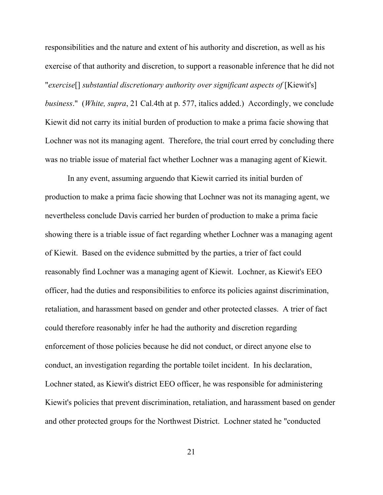responsibilities and the nature and extent of his authority and discretion, as well as his exercise of that authority and discretion, to support a reasonable inference that he did not "*exercise*[] *substantial discretionary authority over significant aspects of* [Kiewit's] *business*." (*White, supra*, 21 Cal.4th at p. 577, italics added.) Accordingly, we conclude Kiewit did not carry its initial burden of production to make a prima facie showing that Lochner was not its managing agent. Therefore, the trial court erred by concluding there was no triable issue of material fact whether Lochner was a managing agent of Kiewit.

 In any event, assuming arguendo that Kiewit carried its initial burden of production to make a prima facie showing that Lochner was not its managing agent, we nevertheless conclude Davis carried her burden of production to make a prima facie showing there is a triable issue of fact regarding whether Lochner was a managing agent of Kiewit. Based on the evidence submitted by the parties, a trier of fact could reasonably find Lochner was a managing agent of Kiewit. Lochner, as Kiewit's EEO officer, had the duties and responsibilities to enforce its policies against discrimination, retaliation, and harassment based on gender and other protected classes. A trier of fact could therefore reasonably infer he had the authority and discretion regarding enforcement of those policies because he did not conduct, or direct anyone else to conduct, an investigation regarding the portable toilet incident. In his declaration, Lochner stated, as Kiewit's district EEO officer, he was responsible for administering Kiewit's policies that prevent discrimination, retaliation, and harassment based on gender and other protected groups for the Northwest District. Lochner stated he "conducted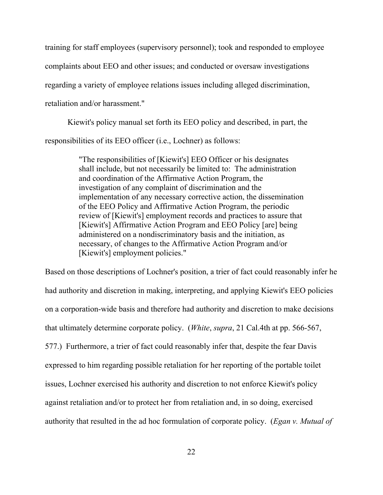training for staff employees (supervisory personnel); took and responded to employee complaints about EEO and other issues; and conducted or oversaw investigations regarding a variety of employee relations issues including alleged discrimination, retaliation and/or harassment."

 Kiewit's policy manual set forth its EEO policy and described, in part, the responsibilities of its EEO officer (i.e., Lochner) as follows:

> "The responsibilities of [Kiewit's] EEO Officer or his designates shall include, but not necessarily be limited to: The administration and coordination of the Affirmative Action Program, the investigation of any complaint of discrimination and the implementation of any necessary corrective action, the dissemination of the EEO Policy and Affirmative Action Program, the periodic review of [Kiewit's] employment records and practices to assure that [Kiewit's] Affirmative Action Program and EEO Policy [are] being administered on a nondiscriminatory basis and the initiation, as necessary, of changes to the Affirmative Action Program and/or [Kiewit's] employment policies."

Based on those descriptions of Lochner's position, a trier of fact could reasonably infer he had authority and discretion in making, interpreting, and applying Kiewit's EEO policies on a corporation-wide basis and therefore had authority and discretion to make decisions that ultimately determine corporate policy. (*White*, *supra*, 21 Cal.4th at pp. 566-567, 577.) Furthermore, a trier of fact could reasonably infer that, despite the fear Davis expressed to him regarding possible retaliation for her reporting of the portable toilet issues, Lochner exercised his authority and discretion to not enforce Kiewit's policy against retaliation and/or to protect her from retaliation and, in so doing, exercised authority that resulted in the ad hoc formulation of corporate policy. (*Egan v. Mutual of*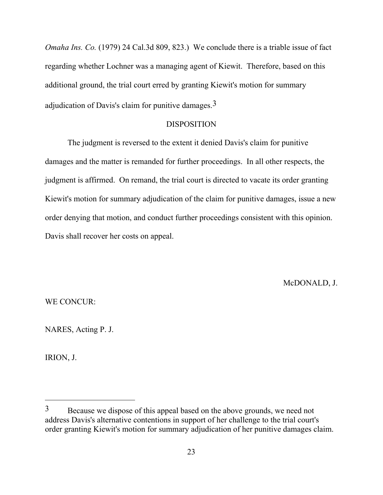*Omaha Ins. Co.* (1979) 24 Cal.3d 809, 823.) We conclude there is a triable issue of fact regarding whether Lochner was a managing agent of Kiewit. Therefore, based on this additional ground, the trial court erred by granting Kiewit's motion for summary adjudication of Davis's claim for punitive damages.<sup>3</sup>

### DISPOSITION

 The judgment is reversed to the extent it denied Davis's claim for punitive damages and the matter is remanded for further proceedings. In all other respects, the judgment is affirmed. On remand, the trial court is directed to vacate its order granting Kiewit's motion for summary adjudication of the claim for punitive damages, issue a new order denying that motion, and conduct further proceedings consistent with this opinion. Davis shall recover her costs on appeal.

McDONALD, J.

WE CONCUR:

NARES, Acting P. J.

IRION, J.

<sup>3</sup> Because we dispose of this appeal based on the above grounds, we need not address Davis's alternative contentions in support of her challenge to the trial court's order granting Kiewit's motion for summary adjudication of her punitive damages claim.